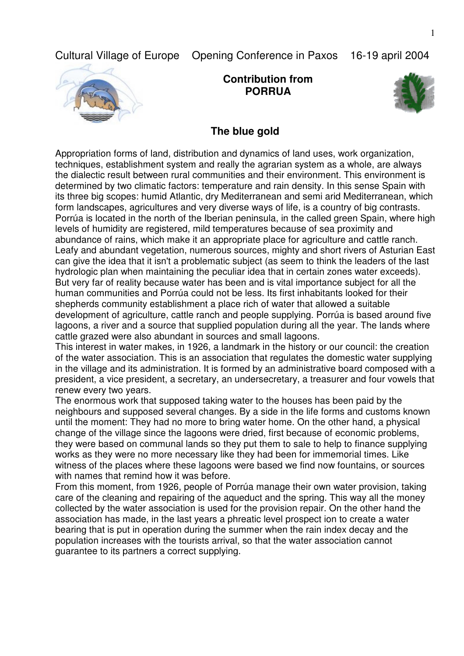Cultural Village of Europe Opening Conference in Paxos 16-19 april 2004



**Contribution from PORRUA**



## **The blue gold**

Appropriation forms of land, distribution and dynamics of land uses, work organization, techniques, establishment system and really the agrarian system as a whole, are always the dialectic result between rural communities and their environment. This environment is determined by two climatic factors: temperature and rain density. In this sense Spain with its three big scopes: humid Atlantic, dry Mediterranean and semi arid Mediterranean, which form landscapes, agricultures and very diverse ways of life, is a country of big contrasts. Porrúa is located in the north of the Iberian peninsula, in the called green Spain, where high levels of humidity are registered, mild temperatures because of sea proximity and abundance of rains, which make it an appropriate place for agriculture and cattle ranch. Leafy and abundant vegetation, numerous sources, mighty and short rivers of Asturian East can give the idea that it isn't a problematic subject (as seem to think the leaders of the last hydrologic plan when maintaining the peculiar idea that in certain zones water exceeds). But very far of reality because water has been and is vital importance subject for all the human communities and Porrúa could not be less. Its first inhabitants looked for their shepherds community establishment a place rich of water that allowed a suitable development of agriculture, cattle ranch and people supplying. Porrúa is based around five lagoons, a river and a source that supplied population during all the year. The lands where cattle grazed were also abundant in sources and small lagoons.

This interest in water makes, in 1926, a landmark in the history or our council: the creation of the water association. This is an association that regulates the domestic water supplying in the village and its administration. It is formed by an administrative board composed with a president, a vice president, a secretary, an undersecretary, a treasurer and four vowels that renew every two years.

The enormous work that supposed taking water to the houses has been paid by the neighbours and supposed several changes. By a side in the life forms and customs known until the moment: They had no more to bring water home. On the other hand, a physical change of the village since the lagoons were dried, first because of economic problems, they were based on communal lands so they put them to sale to help to finance supplying works as they were no more necessary like they had been for immemorial times. Like witness of the places where these lagoons were based we find now fountains, or sources with names that remind how it was before.

From this moment, from 1926, people of Porrúa manage their own water provision, taking care of the cleaning and repairing of the aqueduct and the spring. This way all the money collected by the water association is used for the provision repair. On the other hand the association has made, in the last years a phreatic level prospect ion to create a water bearing that is put in operation during the summer when the rain index decay and the population increases with the tourists arrival, so that the water association cannot guarantee to its partners a correct supplying.